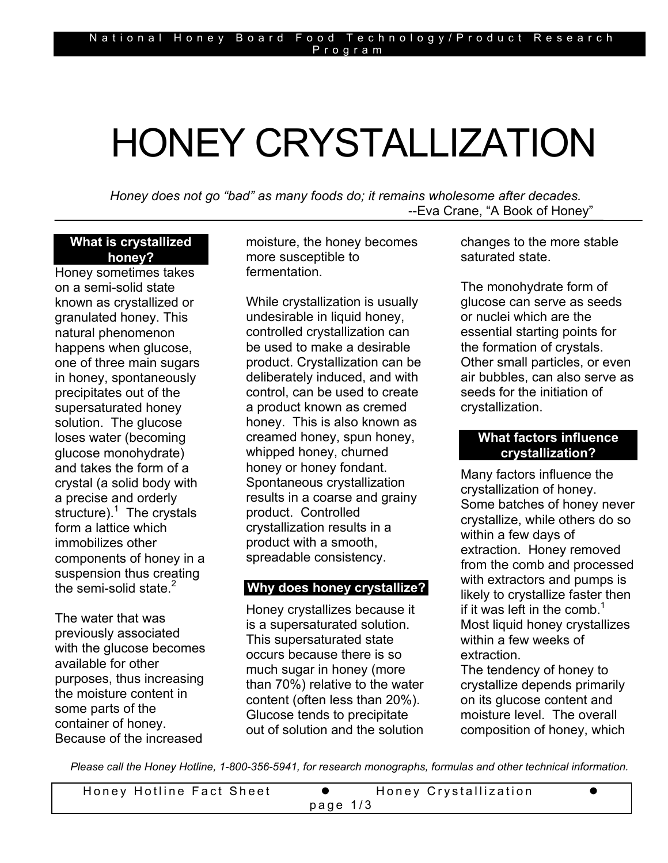# HONEY CRYSTALLIZATION

*Honey does not go "bad" as many foods do; it remains wholesome after decades.*  --Eva Crane, "A Book of Honey"

#### **What is crystallized honey?**

Honey sometimes takes on a semi-solid state known as crystallized or granulated honey. This natural phenomenon happens when glucose, one of three main sugars in honey, spontaneously precipitates out of the supersaturated honey solution. The glucose loses water (becoming glucose monohydrate) and takes the form of a crystal (a solid body with a precise and orderly structure).<sup>1</sup> The crystals form a lattice which immobilizes other components of honey in a suspension thus creating the semi-solid state. $2$ 

The water that was previously associated with the glucose becomes available for other purposes, thus increasing the moisture content in some parts of the container of honey. Because of the increased

moisture, the honey becomes more susceptible to fermentation.

While crystallization is usually undesirable in liquid honey, controlled crystallization can be used to make a desirable product. Crystallization can be deliberately induced, and with control, can be used to create a product known as cremed honey. This is also known as creamed honey, spun honey, whipped honey, churned honey or honey fondant. Spontaneous crystallization results in a coarse and grainy product. Controlled crystallization results in a product with a smooth, spreadable consistency.

# **Why does honey crystallize?**

Honey crystallizes because it is a supersaturated solution. This supersaturated state occurs because there is so much sugar in honey (more than 70%) relative to the water content (often less than 20%). Glucose tends to precipitate out of solution and the solution changes to the more stable saturated state.

The monohydrate form of glucose can serve as seeds or nuclei which are the essential starting points for the formation of crystals. Other small particles, or even air bubbles, can also serve as seeds for the initiation of crystallization.

## **What factors influence crystallization?**

Many factors influence the crystallization of honey. Some batches of honey never crystallize, while others do so within a few days of extraction. Honey removed from the comb and processed with extractors and pumps is likely to crystallize faster then if it was left in the comb.<sup>1</sup> Most liquid honey crystallizes within a few weeks of extraction.

The tendency of honey to crystallize depends primarily on its glucose content and moisture level. The overall composition of honey, which

*Please call the Honey Hotline, 1-800-356-5941, for research monographs, formulas and other technical information.* 

| Honey Hotline Fact Sheet |  | Honey Crystallization |  |  |
|--------------------------|--|-----------------------|--|--|
| page $1/3$               |  |                       |  |  |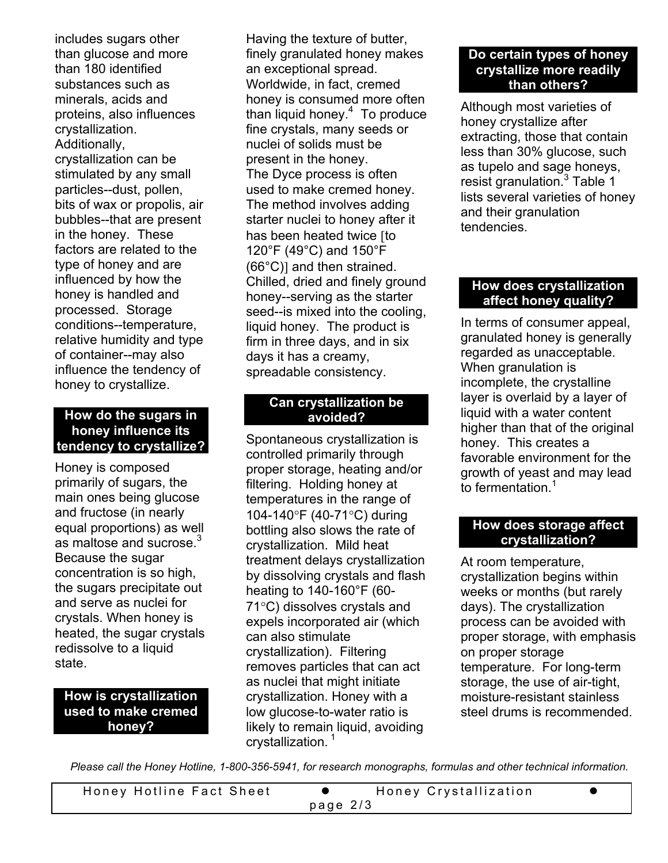includes sugars other than glucose and more than 180 identified substances such as minerals, acids and proteins, also influences crystallization. Additionally, crystallization can be stimulated by any small particles--dust, pollen, bits of wax or propolis, air bubbles--that are present in the honey. These factors are related to the type of honey and are influenced by how the honey is handled and processed. Storage conditions--temperature, relative humidity and type of container--may also influence the tendency of honey to crystallize.

#### **How do the sugars in honey influence its tendency to crystallize?**

Honey is composed primarily of sugars, the main ones being glucose and fructose (in nearly equal proportions) as well as maltose and sucrose.<sup>3</sup> Because the sugar concentration is so high, the sugars precipitate out and serve as nuclei for crystals. When honey is heated, the sugar crystals redissolve to a liquid state.

## **How is crystallization used to make cremed honey?**

Having the texture of butter, finely granulated honey makes an exceptional spread. Worldwide, in fact, cremed honey is consumed more often than liquid honey.<sup>4</sup> To produce fine crystals, many seeds or nuclei of solids must be present in the honey. The Dyce process is often used to make cremed honey. The method involves adding starter nuclei to honey after it has been heated twice [to 120°F (49°C) and 150°F (66°C)] and then strained. Chilled, dried and finely ground honey--serving as the starter seed--is mixed into the cooling, liquid honey. The product is firm in three days, and in six days it has a creamy, spreadable consistency.

# **Can crystallization be avoided?**

Spontaneous crystallization is controlled primarily through proper storage, heating and/or filtering. Holding honey at temperatures in the range of 104-140°F (40-71°C) during bottling also slows the rate of crystallization. Mild heat treatment delays crystallization by dissolving crystals and flash heating to 140-160°F (60- 71°C) dissolves crystals and expels incorporated air (which can also stimulate crystallization). Filtering removes particles that can act as nuclei that might initiate crystallization. Honey with a low glucose-to-water ratio is likely to remain liquid, avoiding crystallization.<sup>1</sup>

#### **Do certain types of honey crystallize more readily than others?**

Although most varieties of honey crystallize after extracting, those that contain less than 30% glucose, such as tupelo and sage honeys, resist granulation.<sup>3</sup> Table 1 lists several varieties of honey and their granulation tendencies.

# **How does crystallization affect honey quality?**

In terms of consumer appeal, granulated honey is generally regarded as unacceptable. When granulation is incomplete, the crystalline layer is overlaid by a layer of liquid with a water content higher than that of the original honey. This creates a favorable environment for the growth of yeast and may lead to fermentation.<sup>1</sup>

# **How does storage affect crystallization?**

At room temperature, crystallization begins within weeks or months (but rarely days). The crystallization process can be avoided with proper storage, with emphasis on proper storage temperature. For long-term storage, the use of air-tight, moisture-resistant stainless steel drums is recommended.

*Please call the Honey Hotline, 1-800-356-5941, for research monographs, formulas and other technical information.* 

| Honey Hotline Fact Sheet |  | Honey Crystallization |  |  |
|--------------------------|--|-----------------------|--|--|
| page $2/3$               |  |                       |  |  |